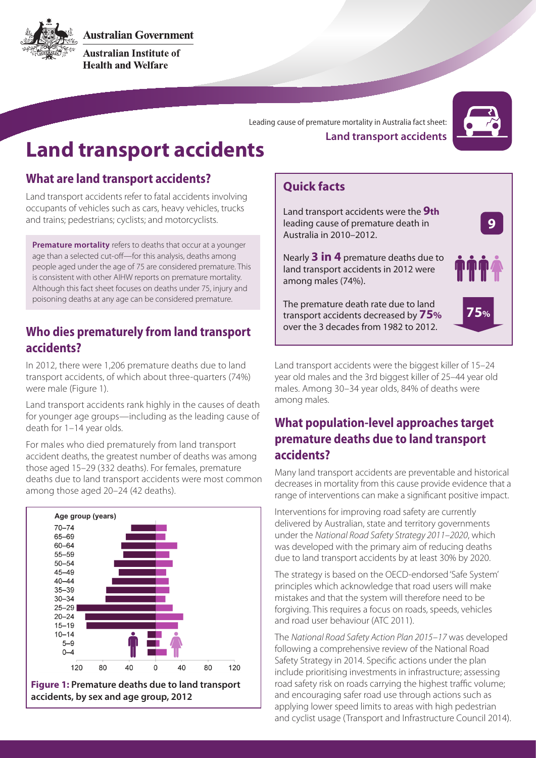

**Australian Government** 

**Australian Institute of Health and Welfare** 

Leading cause of premature mortality in Australia fact sheet:



# **Land transport accidents**

## **What are land transport accidents?**

Land transport accidents refer to fatal accidents involving occupants of vehicles such as cars, heavy vehicles, trucks and trains; pedestrians; cyclists; and motorcyclists.

**Premature mortality** refers to deaths that occur at a younger age than a selected cut-off—for this analysis, deaths among people aged under the age of 75 are considered premature. This is consistent with other AIHW reports on premature mortality. Although this fact sheet focuses on deaths under 75, injury and poisoning deaths at any age can be considered premature.

#### **Who dies prematurely from land transport accidents?**

In 2012, there were 1,206 premature deaths due to land transport accidents, of which about three-quarters (74%) were male (Figure 1).

Land transport accidents rank highly in the causes of death for younger age groups—including as the leading cause of death for 1–14 year olds.

For males who died prematurely from land transport accident deaths, the greatest number of deaths was among those aged 15–29 (332 deaths). For females, premature deaths due to land transport accidents were most common among those aged 20–24 (42 deaths).



**Land transport accidents**

## **Quick facts**

Land transport accidents were the **9th** leading cause of premature death in Australia in 2010–2012.

Nearly **3 in 4** premature deaths due to land transport accidents in 2012 were among males (74%).

The premature death rate due to land transport accidents decreased by **75%** over the 3 decades from 1982 to 2012.



**9**

Land transport accidents were the biggest killer of 15–24 year old males and the 3rd biggest killer of 25–44 year old males. Among 30–34 year olds, 84% of deaths were among males.

# **What population-level approaches target premature deaths due to land transport accidents?**

Many land transport accidents are preventable and historical decreases in mortality from this cause provide evidence that a range of interventions can make a significant positive impact.

Interventions for improving road safety are currently delivered by Australian, state and territory governments under the *National Road Safety Strategy 2011–2020*, which was developed with the primary aim of reducing deaths due to land transport accidents by at least 30% by 2020.

The strategy is based on the OECD-endorsed 'Safe System' principles which acknowledge that road users will make mistakes and that the system will therefore need to be forgiving. This requires a focus on roads, speeds, vehicles and road user behaviour (ATC 2011).

The *National Road Safety Action Plan 2015–17* was developed following a comprehensive review of the National Road Safety Strategy in 2014. Specific actions under the plan include prioritising investments in infrastructure; assessing road safety risk on roads carrying the highest traffic volume; and encouraging safer road use through actions such as applying lower speed limits to areas with high pedestrian and cyclist usage (Transport and Infrastructure Council 2014).